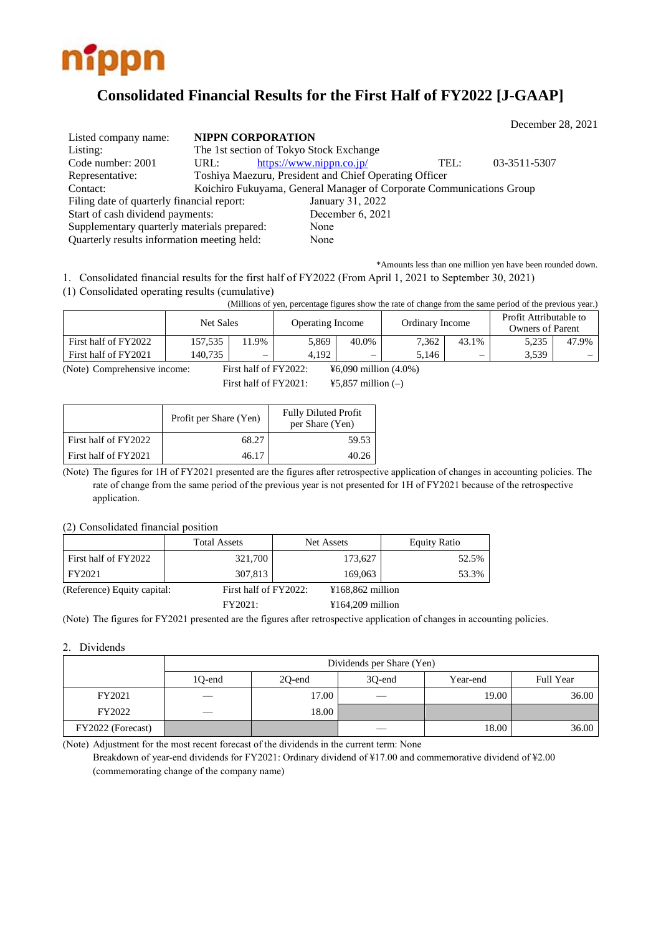

# **Consolidated Financial Results for the First Half of FY2022 [J-GAAP]**

|                                             |      |                          |                                                                      |      | December 28, 2021 |
|---------------------------------------------|------|--------------------------|----------------------------------------------------------------------|------|-------------------|
| Listed company name:                        |      | <b>NIPPN CORPORATION</b> |                                                                      |      |                   |
| Listing:                                    |      |                          | The 1st section of Tokyo Stock Exchange                              |      |                   |
| Code number: 2001                           | URL: |                          | https://www.nippn.co.jp/                                             | TEL: | 03-3511-5307      |
| Representative:                             |      |                          | Toshiya Maezuru, President and Chief Operating Officer               |      |                   |
| Contact:                                    |      |                          | Koichiro Fukuyama, General Manager of Corporate Communications Group |      |                   |
| Filing date of quarterly financial report:  |      |                          | January 31, 2022                                                     |      |                   |
| Start of cash dividend payments:            |      |                          | December 6, 2021                                                     |      |                   |
| Supplementary quarterly materials prepared: |      |                          | None                                                                 |      |                   |
| Quarterly results information meeting held: |      |                          | None                                                                 |      |                   |

\*Amounts less than one million yen have been rounded down.

1. Consolidated financial results for the first half of FY2022 (From April 1, 2021 to September 30, 2021)

(1) Consolidated operating results (cumulative)

(Millions of yen, percentage figures show the rate of change from the same period of the previous year.)

|                      | Net Sales |                          | Operating Income |       | Ordinary Income |       | Profit Attributable to<br>Owners of Parent |          |
|----------------------|-----------|--------------------------|------------------|-------|-----------------|-------|--------------------------------------------|----------|
| First half of FY2022 | 157,535   | 1.9%                     | 5,869            | 40.0% | 7.362           | 43.1% | 5.235                                      | 47.9%    |
| First half of FY2021 | 140.735   | $\overline{\phantom{0}}$ | 4.192            | —     | 5.146           |       | 3,539                                      | $\equiv$ |

(Note) Comprehensive income: First half of FY2022: ¥6,090 million (4.0%)

First half of FY2021:  $\qquad$  ¥5,857 million (-)

|                      | Profit per Share (Yen) | <b>Fully Diluted Profit</b><br>per Share (Yen) |
|----------------------|------------------------|------------------------------------------------|
| First half of FY2022 | 68.27                  | 59.53                                          |
| First half of FY2021 | 46.17                  |                                                |

(Note) The figures for 1H of FY2021 presented are the figures after retrospective application of changes in accounting policies. The rate of change from the same period of the previous year is not presented for 1H of FY2021 because of the retrospective application.

(2) Consolidated financial position

|                             | <b>Total Assets</b>   | Net Assets         | <b>Equity Ratio</b> |
|-----------------------------|-----------------------|--------------------|---------------------|
| First half of FY2022        | 321,700               | 173,627            | 52.5%               |
| FY2021                      | 307,813               | 169,063            | 53.3%               |
| (Reference) Equity capital: | First half of FY2022: | $¥168,862$ million |                     |
|                             | FY2021:               | $¥164,209$ million |                     |

(Note) The figures for FY2021 presented are the figures after retrospective application of changes in accounting policies.

2. Dividends

|                   | Dividends per Share (Yen) |        |        |          |           |  |  |  |  |
|-------------------|---------------------------|--------|--------|----------|-----------|--|--|--|--|
|                   | 10-end                    | 20-end | 30-end | Year-end | Full Year |  |  |  |  |
| FY2021            |                           | 17.00  |        | 19.00    | 36.00     |  |  |  |  |
| FY2022            | $\overline{\phantom{a}}$  | 18.00  |        |          |           |  |  |  |  |
| FY2022 (Forecast) |                           |        |        | 18.00    | 36.00     |  |  |  |  |

(Note) Adjustment for the most recent forecast of the dividends in the current term: None

Breakdown of year-end dividends for FY2021: Ordinary dividend of ¥17.00 and commemorative dividend of ¥2.00 (commemorating change of the company name)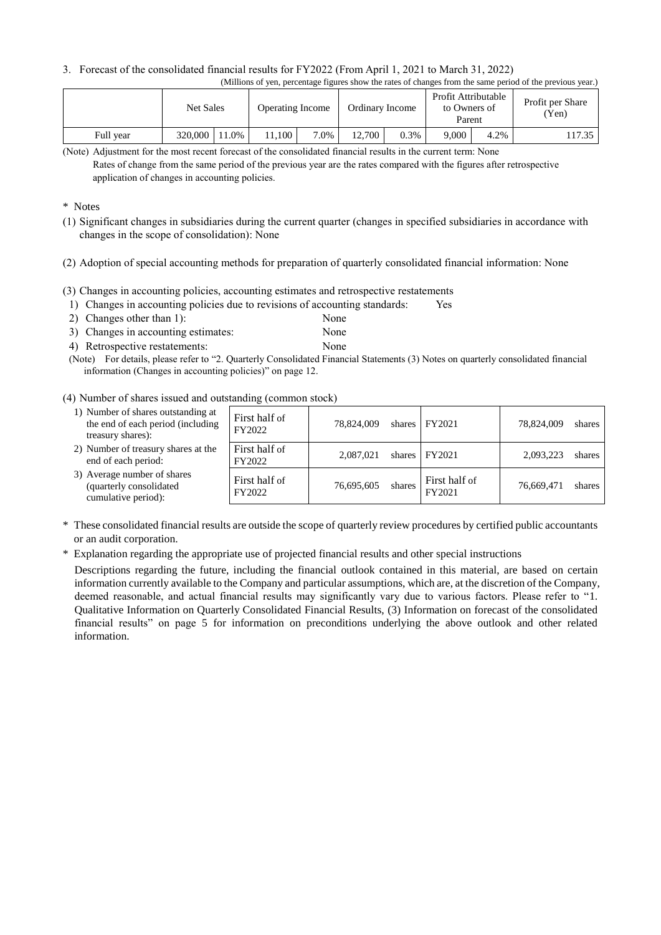## 3. Forecast of the consolidated financial results for FY2022 (From April 1, 2021 to March 31, 2022)

|--|

|           | <b>Net Sales</b> |         | <b>Operating Income</b> |      | Ordinary Income |      | Profit Attributable<br>to Owners of<br>Parent |      | Profit per Share<br>'Yen) |
|-----------|------------------|---------|-------------------------|------|-----------------|------|-----------------------------------------------|------|---------------------------|
| Full year | 320,000          | $1.0\%$ | 1.100                   | 7.0% | 12.700          | 0.3% | 9.000                                         | 4.2% | 17.35                     |

(Note) Adjustment for the most recent forecast of the consolidated financial results in the current term: None

### \* Notes

- (1) Significant changes in subsidiaries during the current quarter (changes in specified subsidiaries in accordance with changes in the scope of consolidation): None
- (2) Adoption of special accounting methods for preparation of quarterly consolidated financial information: None
- (3) Changes in accounting policies, accounting estimates and retrospective restatements
- 1) Changes in accounting policies due to revisions of accounting standards: Yes
- 2) Changes other than 1): None 3) Changes in accounting estimates: None
- 4) Retrospective restatements: None
- (Note) For details, please refer to "2. Quarterly Consolidated Financial Statements (3) Notes on quarterly consolidated financial information (Changes in accounting policies)" on page 12.

### (4) Number of shares issued and outstanding (common stock)

| 1) Number of shares outstanding at<br>the end of each period (including<br>treasury shares): | First half of<br>FY2022 | 78.824,009 | shares | FY2021                  | 78,824,009 | shares |
|----------------------------------------------------------------------------------------------|-------------------------|------------|--------|-------------------------|------------|--------|
| 2) Number of treasury shares at the<br>end of each period:                                   | First half of<br>FY2022 | 2.087.021  | shares | FY2021                  | 2,093,223  | shares |
| 3) Average number of shares<br>(quarterly consolidated<br>cumulative period):                | First half of<br>FY2022 | 76.695.605 | shares | First half of<br>FY2021 | 76,669,471 | shares |

- \* These consolidated financial results are outside the scope of quarterly review procedures by certified public accountants or an audit corporation.
- \* Explanation regarding the appropriate use of projected financial results and other special instructions

Descriptions regarding the future, including the financial outlook contained in this material, are based on certain information currently available to the Company and particular assumptions, which are, at the discretion of the Company, deemed reasonable, and actual financial results may significantly vary due to various factors. Please refer to "1. Qualitative Information on Quarterly Consolidated Financial Results, (3) Information on forecast of the consolidated financial results" on page 5 for information on preconditions underlying the above outlook and other related information.

Rates of change from the same period of the previous year are the rates compared with the figures after retrospective application of changes in accounting policies.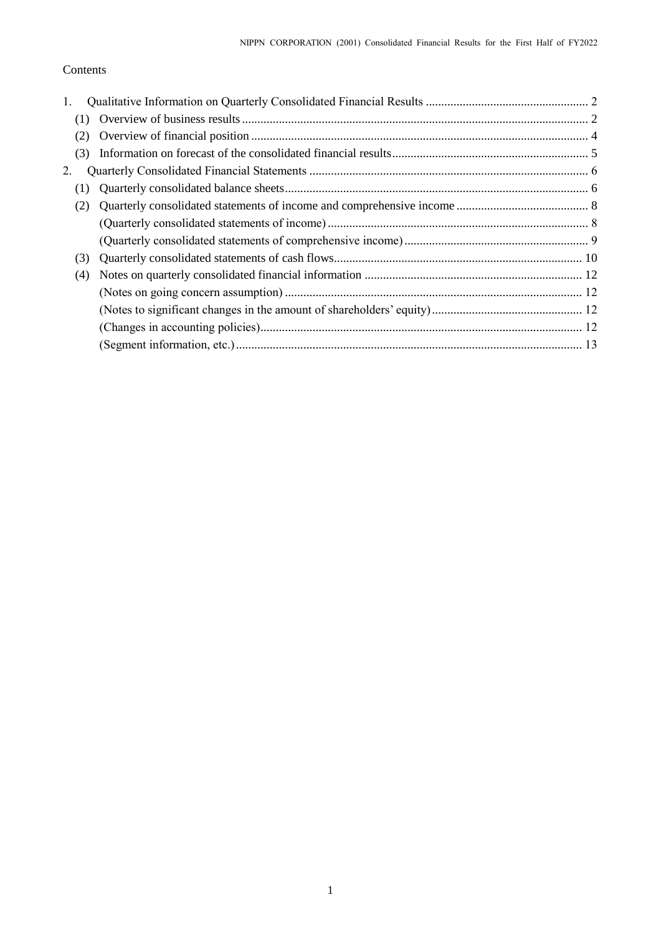# Contents

| 1. |     |  |
|----|-----|--|
|    |     |  |
|    | (2) |  |
|    | (3) |  |
| 2. |     |  |
|    | (1) |  |
|    | (2) |  |
|    |     |  |
|    |     |  |
|    | (3) |  |
|    | (4) |  |
|    |     |  |
|    |     |  |
|    |     |  |
|    |     |  |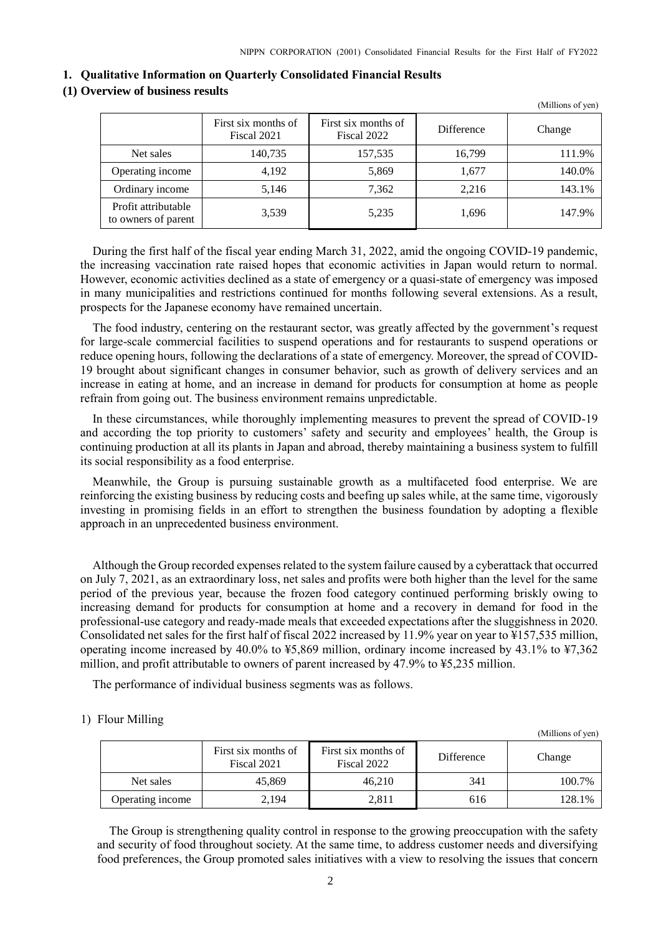#### <span id="page-3-0"></span>**1. Qualitative Information on Quarterly Consolidated Financial Results**

# <span id="page-3-1"></span>**(1) Overview of business results**

|                                            |                                    |                                    |                   | (Millions of yen) |
|--------------------------------------------|------------------------------------|------------------------------------|-------------------|-------------------|
|                                            | First six months of<br>Fiscal 2021 | First six months of<br>Fiscal 2022 | <b>Difference</b> | Change            |
| Net sales                                  | 140,735                            | 157,535                            | 16.799            | 111.9%            |
| Operating income                           | 4,192                              | 5,869                              | 1,677             | 140.0%            |
| Ordinary income                            | 5,146                              | 7,362                              | 2,216             | 143.1%            |
| Profit attributable<br>to owners of parent | 3,539                              | 5,235                              | 1,696             | 147.9%            |

During the first half of the fiscal year ending March 31, 2022, amid the ongoing COVID-19 pandemic, the increasing vaccination rate raised hopes that economic activities in Japan would return to normal. However, economic activities declined as a state of emergency or a quasi-state of emergency was imposed in many municipalities and restrictions continued for months following several extensions. As a result, prospects for the Japanese economy have remained uncertain.

The food industry, centering on the restaurant sector, was greatly affected by the government's request for large-scale commercial facilities to suspend operations and for restaurants to suspend operations or reduce opening hours, following the declarations of a state of emergency. Moreover, the spread of COVID-19 brought about significant changes in consumer behavior, such as growth of delivery services and an increase in eating at home, and an increase in demand for products for consumption at home as people refrain from going out. The business environment remains unpredictable.

In these circumstances, while thoroughly implementing measures to prevent the spread of COVID-19 and according the top priority to customers' safety and security and employees' health, the Group is continuing production at all its plants in Japan and abroad, thereby maintaining a business system to fulfill its social responsibility as a food enterprise.

Meanwhile, the Group is pursuing sustainable growth as a multifaceted food enterprise. We are reinforcing the existing business by reducing costs and beefing up sales while, at the same time, vigorously investing in promising fields in an effort to strengthen the business foundation by adopting a flexible approach in an unprecedented business environment.

Although the Group recorded expenses related to the system failure caused by a cyberattack that occurred on July 7, 2021, as an extraordinary loss, net sales and profits were both higher than the level for the same period of the previous year, because the frozen food category continued performing briskly owing to increasing demand for products for consumption at home and a recovery in demand for food in the professional-use category and ready-made meals that exceeded expectations after the sluggishness in 2020. Consolidated net sales for the first half of fiscal 2022 increased by 11.9% year on year to ¥157,535 million, operating income increased by 40.0% to ¥5,869 million, ordinary income increased by 43.1% to ¥7,362 million, and profit attributable to owners of parent increased by 47.9% to ¥5,235 million.

The performance of individual business segments was as follows.

### 1) Flour Milling

|                  | First six months of<br>Fiscal 2021 | First six months of<br>Fiscal 2022 | Difference | Change |
|------------------|------------------------------------|------------------------------------|------------|--------|
| Net sales        | 45,869                             | 46.210                             | 341        | 100.7% |
| Operating income | 2.194                              | 2,811                              | 616        | 128.1% |

(Millions of yen)

The Group is strengthening quality control in response to the growing preoccupation with the safety and security of food throughout society. At the same time, to address customer needs and diversifying food preferences, the Group promoted sales initiatives with a view to resolving the issues that concern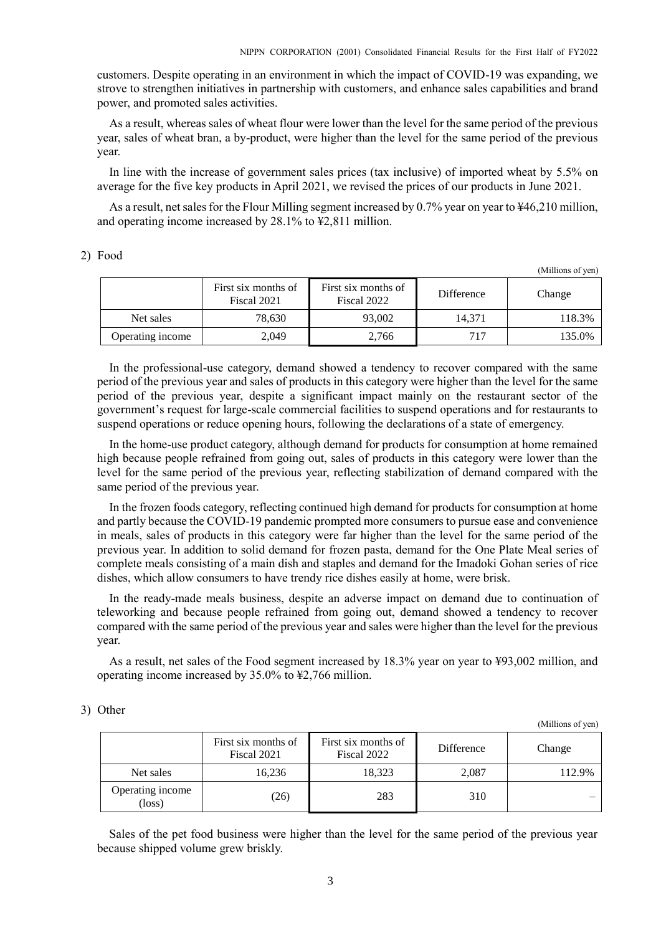customers. Despite operating in an environment in which the impact of COVID-19 was expanding, we strove to strengthen initiatives in partnership with customers, and enhance sales capabilities and brand power, and promoted sales activities.

As a result, whereas sales of wheat flour were lower than the level for the same period of the previous year, sales of wheat bran, a by-product, were higher than the level for the same period of the previous year.

In line with the increase of government sales prices (tax inclusive) of imported wheat by 5.5% on average for the five key products in April 2021, we revised the prices of our products in June 2021.

As a result, net sales for the Flour Milling segment increased by 0.7% year on year to ¥46,210 million, and operating income increased by 28.1% to ¥2,811 million.

### 2) Food

(Millions of yen)

|                  | First six months of<br>Fiscal 2021 | First six months of<br>Fiscal 2022 | <b>Difference</b> | Change |
|------------------|------------------------------------|------------------------------------|-------------------|--------|
| Net sales        | 78.630                             | 93,002                             | 14.371            | 118.3% |
| Operating income | 2.049                              | 2.766                              | 717               | 135.0% |

In the professional-use category, demand showed a tendency to recover compared with the same period of the previous year and sales of products in this category were higher than the level for the same period of the previous year, despite a significant impact mainly on the restaurant sector of the government's request for large-scale commercial facilities to suspend operations and for restaurants to suspend operations or reduce opening hours, following the declarations of a state of emergency.

In the home-use product category, although demand for products for consumption at home remained high because people refrained from going out, sales of products in this category were lower than the level for the same period of the previous year, reflecting stabilization of demand compared with the same period of the previous year.

In the frozen foods category, reflecting continued high demand for products for consumption at home and partly because the COVID-19 pandemic prompted more consumers to pursue ease and convenience in meals, sales of products in this category were far higher than the level for the same period of the previous year. In addition to solid demand for frozen pasta, demand for the One Plate Meal series of complete meals consisting of a main dish and staples and demand for the Imadoki Gohan series of rice dishes, which allow consumers to have trendy rice dishes easily at home, were brisk.

In the ready-made meals business, despite an adverse impact on demand due to continuation of teleworking and because people refrained from going out, demand showed a tendency to recover compared with the same period of the previous year and sales were higher than the level for the previous year.

As a result, net sales of the Food segment increased by 18.3% year on year to ¥93,002 million, and operating income increased by 35.0% to ¥2,766 million.

### 3) Other

(Millions of yen)

|                                     | First six months of<br>Fiscal 2021 | First six months of<br>Fiscal 2022 | Difference | Change |
|-------------------------------------|------------------------------------|------------------------------------|------------|--------|
| Net sales                           | 16.236                             | 18.323                             | 2.087      | 112.9% |
| Operating income<br>$(\text{loss})$ | (26)                               | 283                                | 310        |        |

Sales of the pet food business were higher than the level for the same period of the previous year because shipped volume grew briskly.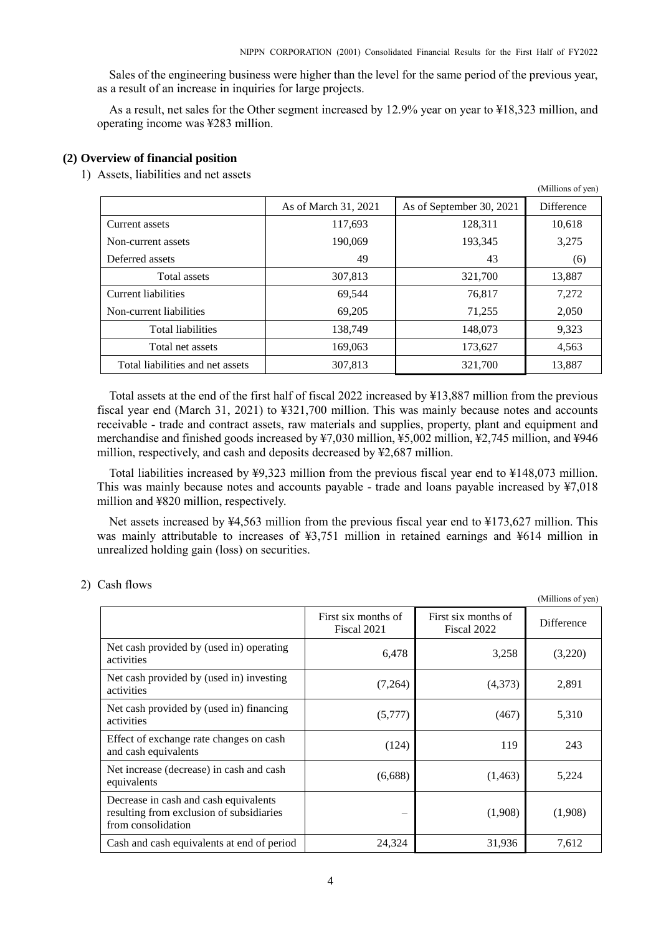Sales of the engineering business were higher than the level for the same period of the previous year, as a result of an increase in inquiries for large projects.

As a result, net sales for the Other segment increased by 12.9% year on year to ¥18,323 million, and operating income was ¥283 million.

### <span id="page-5-0"></span>**(2) Overview of financial position**

1) Assets, liabilities and net assets

|                                  |                      |                          | (Millions of yen) |
|----------------------------------|----------------------|--------------------------|-------------------|
|                                  | As of March 31, 2021 | As of September 30, 2021 | <b>Difference</b> |
| Current assets                   | 117,693              | 128,311                  | 10,618            |
| Non-current assets               | 190.069              | 193,345                  | 3,275             |
| Deferred assets                  | 49                   | 43                       | (6)               |
| Total assets                     | 307,813              | 321,700                  | 13,887            |
| Current liabilities              | 69,544               | 76,817                   | 7,272             |
| Non-current liabilities          | 69,205               | 71,255                   | 2,050             |
| <b>Total liabilities</b>         | 138,749              | 148,073                  | 9,323             |
| Total net assets                 | 169,063              | 173,627                  | 4,563             |
| Total liabilities and net assets | 307,813              | 321,700                  | 13,887            |

Total assets at the end of the first half of fiscal 2022 increased by ¥13,887 million from the previous fiscal year end (March 31, 2021) to ¥321,700 million. This was mainly because notes and accounts receivable - trade and contract assets, raw materials and supplies, property, plant and equipment and merchandise and finished goods increased by ¥7,030 million, ¥5,002 million, ¥2,745 million, and ¥946 million, respectively, and cash and deposits decreased by ¥2,687 million.

Total liabilities increased by ¥9,323 million from the previous fiscal year end to ¥148,073 million. This was mainly because notes and accounts payable - trade and loans payable increased by ¥7,018 million and ¥820 million, respectively.

Net assets increased by ¥4,563 million from the previous fiscal year end to ¥173,627 million. This was mainly attributable to increases of ¥3,751 million in retained earnings and ¥614 million in unrealized holding gain (loss) on securities.

 $\alpha$  cm

#### 2) Cash flows

|                                                                                                         |                                    |                                    | (Millions of yen) |
|---------------------------------------------------------------------------------------------------------|------------------------------------|------------------------------------|-------------------|
|                                                                                                         | First six months of<br>Fiscal 2021 | First six months of<br>Fiscal 2022 | Difference        |
| Net cash provided by (used in) operating<br>activities                                                  | 6,478                              | 3,258                              | (3,220)           |
| Net cash provided by (used in) investing<br>activities                                                  | (7,264)                            | (4,373)                            | 2,891             |
| Net cash provided by (used in) financing<br>activities                                                  | (5,777)                            | (467)                              | 5,310             |
| Effect of exchange rate changes on cash<br>and cash equivalents                                         | (124)                              | 119                                | 243               |
| Net increase (decrease) in cash and cash<br>equivalents                                                 | (6,688)                            | (1, 463)                           | 5,224             |
| Decrease in cash and cash equivalents<br>resulting from exclusion of subsidiaries<br>from consolidation | -                                  | (1,908)                            | (1,908)           |
| Cash and cash equivalents at end of period                                                              | 24,324                             | 31,936                             | 7,612             |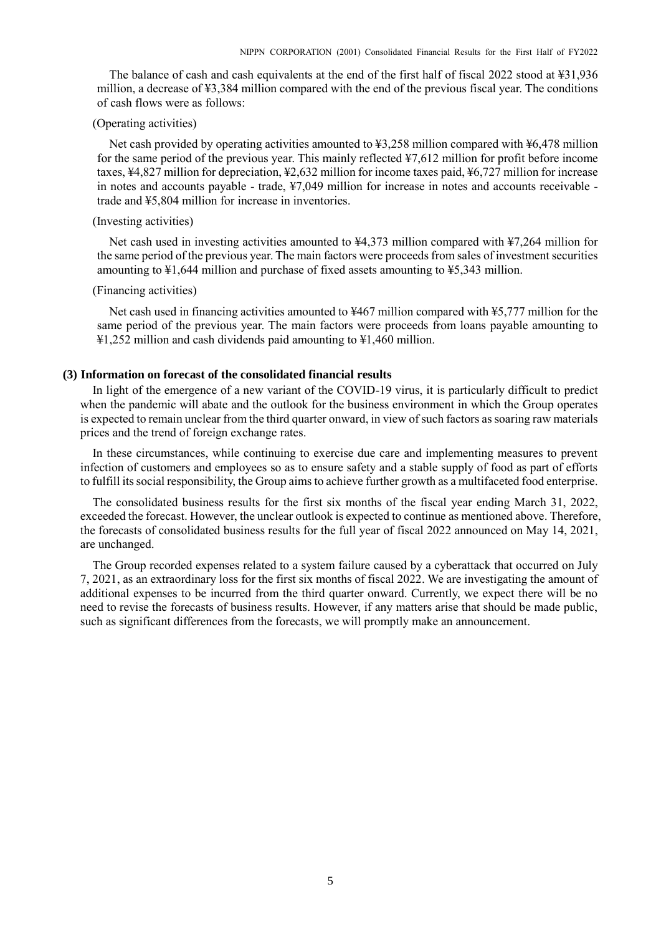The balance of cash and cash equivalents at the end of the first half of fiscal 2022 stood at ¥31,936 million, a decrease of ¥3,384 million compared with the end of the previous fiscal year. The conditions of cash flows were as follows:

## (Operating activities)

Net cash provided by operating activities amounted to ¥3,258 million compared with ¥6,478 million for the same period of the previous year. This mainly reflected ¥7,612 million for profit before income taxes, ¥4,827 million for depreciation, ¥2,632 million for income taxes paid, ¥6,727 million for increase in notes and accounts payable - trade, ¥7,049 million for increase in notes and accounts receivable trade and ¥5,804 million for increase in inventories.

# (Investing activities)

Net cash used in investing activities amounted to ¥4,373 million compared with ¥7,264 million for the same period of the previous year. The main factors were proceeds from sales of investment securities amounting to ¥1,644 million and purchase of fixed assets amounting to ¥5,343 million.

### (Financing activities)

Net cash used in financing activities amounted to ¥467 million compared with ¥5,777 million for the same period of the previous year. The main factors were proceeds from loans payable amounting to ¥1,252 million and cash dividends paid amounting to ¥1,460 million.

## <span id="page-6-0"></span>**(3) Information on forecast of the consolidated financial results**

In light of the emergence of a new variant of the COVID-19 virus, it is particularly difficult to predict when the pandemic will abate and the outlook for the business environment in which the Group operates is expected to remain unclear from the third quarter onward, in view of such factors as soaring raw materials prices and the trend of foreign exchange rates.

In these circumstances, while continuing to exercise due care and implementing measures to prevent infection of customers and employees so as to ensure safety and a stable supply of food as part of efforts to fulfill its social responsibility, the Group aims to achieve further growth as a multifaceted food enterprise.

The consolidated business results for the first six months of the fiscal year ending March 31, 2022, exceeded the forecast. However, the unclear outlook is expected to continue as mentioned above. Therefore, the forecasts of consolidated business results for the full year of fiscal 2022 announced on May 14, 2021, are unchanged.

The Group recorded expenses related to a system failure caused by a cyberattack that occurred on July 7, 2021, as an extraordinary loss for the first six months of fiscal 2022. We are investigating the amount of additional expenses to be incurred from the third quarter onward. Currently, we expect there will be no need to revise the forecasts of business results. However, if any matters arise that should be made public, such as significant differences from the forecasts, we will promptly make an announcement.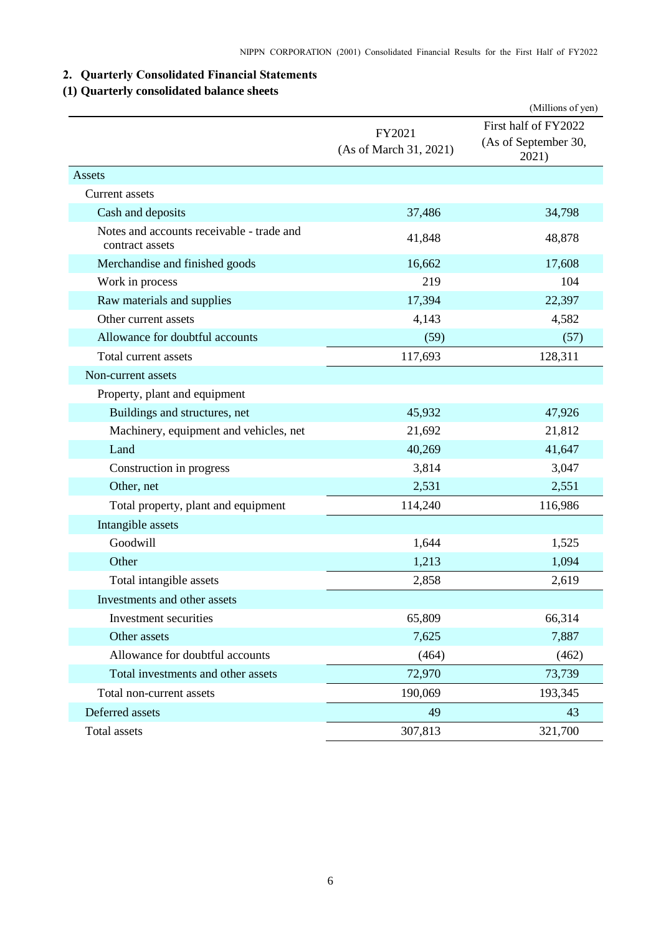# <span id="page-7-0"></span>**2. Quarterly Consolidated Financial Statements**

# <span id="page-7-1"></span>**(1) Quarterly consolidated balance sheets**

|                                                              |                                  | (Millions of yen)                                     |
|--------------------------------------------------------------|----------------------------------|-------------------------------------------------------|
|                                                              | FY2021<br>(As of March 31, 2021) | First half of FY2022<br>(As of September 30,<br>2021) |
| Assets                                                       |                                  |                                                       |
| Current assets                                               |                                  |                                                       |
| Cash and deposits                                            | 37,486                           | 34,798                                                |
| Notes and accounts receivable - trade and<br>contract assets | 41,848                           | 48,878                                                |
| Merchandise and finished goods                               | 16,662                           | 17,608                                                |
| Work in process                                              | 219                              | 104                                                   |
| Raw materials and supplies                                   | 17,394                           | 22,397                                                |
| Other current assets                                         | 4,143                            | 4,582                                                 |
| Allowance for doubtful accounts                              | (59)                             | (57)                                                  |
| Total current assets                                         | 117,693                          | 128,311                                               |
| Non-current assets                                           |                                  |                                                       |
| Property, plant and equipment                                |                                  |                                                       |
| Buildings and structures, net                                | 45,932                           | 47,926                                                |
| Machinery, equipment and vehicles, net                       | 21,692                           | 21,812                                                |
| Land                                                         | 40,269                           | 41,647                                                |
| Construction in progress                                     | 3,814                            | 3,047                                                 |
| Other, net                                                   | 2,531                            | 2,551                                                 |
| Total property, plant and equipment                          | 114,240                          | 116,986                                               |
| Intangible assets                                            |                                  |                                                       |
| Goodwill                                                     | 1,644                            | 1,525                                                 |
| Other                                                        | 1,213                            | 1,094                                                 |
| Total intangible assets                                      | 2,858                            | 2,619                                                 |
| Investments and other assets                                 |                                  |                                                       |
| Investment securities                                        | 65,809                           | 66,314                                                |
| Other assets                                                 | 7,625                            | 7,887                                                 |
| Allowance for doubtful accounts                              | (464)                            | (462)                                                 |
| Total investments and other assets                           | 72,970                           | 73,739                                                |
| Total non-current assets                                     | 190,069                          | 193,345                                               |
| Deferred assets                                              | 49                               | 43                                                    |
| Total assets                                                 | 307,813                          | 321,700                                               |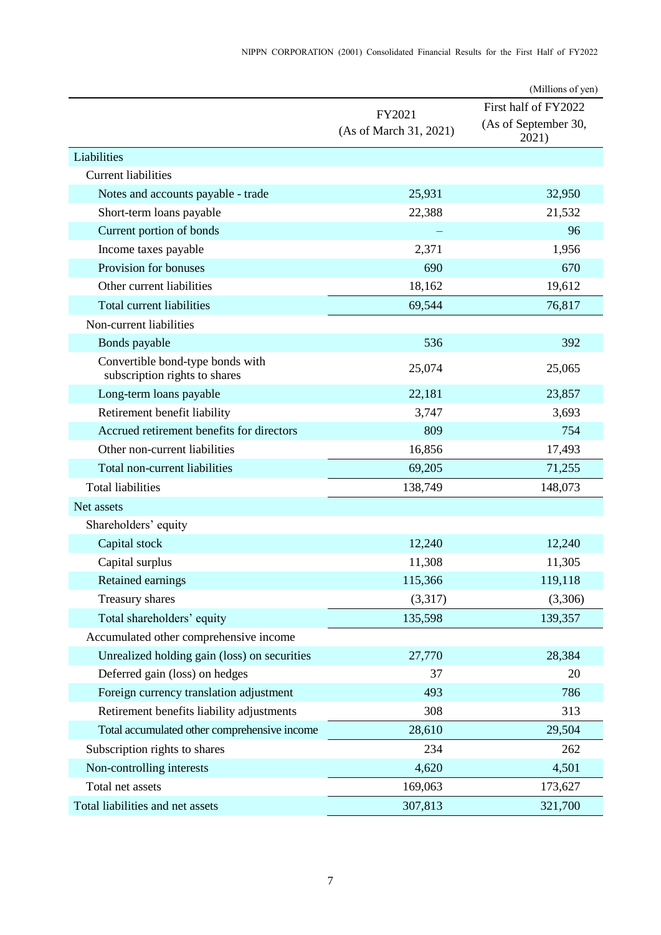|                                                                   |                                  | (Millions of yen)                                     |
|-------------------------------------------------------------------|----------------------------------|-------------------------------------------------------|
|                                                                   | FY2021<br>(As of March 31, 2021) | First half of FY2022<br>(As of September 30,<br>2021) |
| Liabilities                                                       |                                  |                                                       |
| <b>Current liabilities</b>                                        |                                  |                                                       |
| Notes and accounts payable - trade                                | 25,931                           | 32,950                                                |
| Short-term loans payable                                          | 22,388                           | 21,532                                                |
| Current portion of bonds                                          |                                  | 96                                                    |
| Income taxes payable                                              | 2,371                            | 1,956                                                 |
| Provision for bonuses                                             | 690                              | 670                                                   |
| Other current liabilities                                         | 18,162                           | 19,612                                                |
| Total current liabilities                                         | 69,544                           | 76,817                                                |
| Non-current liabilities                                           |                                  |                                                       |
| Bonds payable                                                     | 536                              | 392                                                   |
| Convertible bond-type bonds with<br>subscription rights to shares | 25,074                           | 25,065                                                |
| Long-term loans payable                                           | 22,181                           | 23,857                                                |
| Retirement benefit liability                                      | 3,747                            | 3,693                                                 |
| Accrued retirement benefits for directors                         | 809                              | 754                                                   |
| Other non-current liabilities                                     | 16,856                           | 17,493                                                |
| Total non-current liabilities                                     | 69,205                           | 71,255                                                |
| <b>Total liabilities</b>                                          | 138,749                          | 148,073                                               |
| Net assets                                                        |                                  |                                                       |
| Shareholders' equity                                              |                                  |                                                       |
| Capital stock                                                     | 12,240                           | 12,240                                                |
| Capital surplus                                                   | 11,308                           | 11,305                                                |
| Retained earnings                                                 | 115,366                          | 119,118                                               |
| Treasury shares                                                   | (3,317)                          | (3,306)                                               |
| Total shareholders' equity                                        | 135,598                          | 139,357                                               |
| Accumulated other comprehensive income                            |                                  |                                                       |
| Unrealized holding gain (loss) on securities                      | 27,770                           | 28,384                                                |
| Deferred gain (loss) on hedges                                    | 37                               | 20                                                    |
| Foreign currency translation adjustment                           | 493                              | 786                                                   |
| Retirement benefits liability adjustments                         | 308                              | 313                                                   |
| Total accumulated other comprehensive income                      | 28,610                           | 29,504                                                |
| Subscription rights to shares                                     | 234                              | 262                                                   |
| Non-controlling interests                                         | 4,620                            | 4,501                                                 |
| Total net assets                                                  | 169,063                          | 173,627                                               |
| Total liabilities and net assets                                  | 307,813                          | 321,700                                               |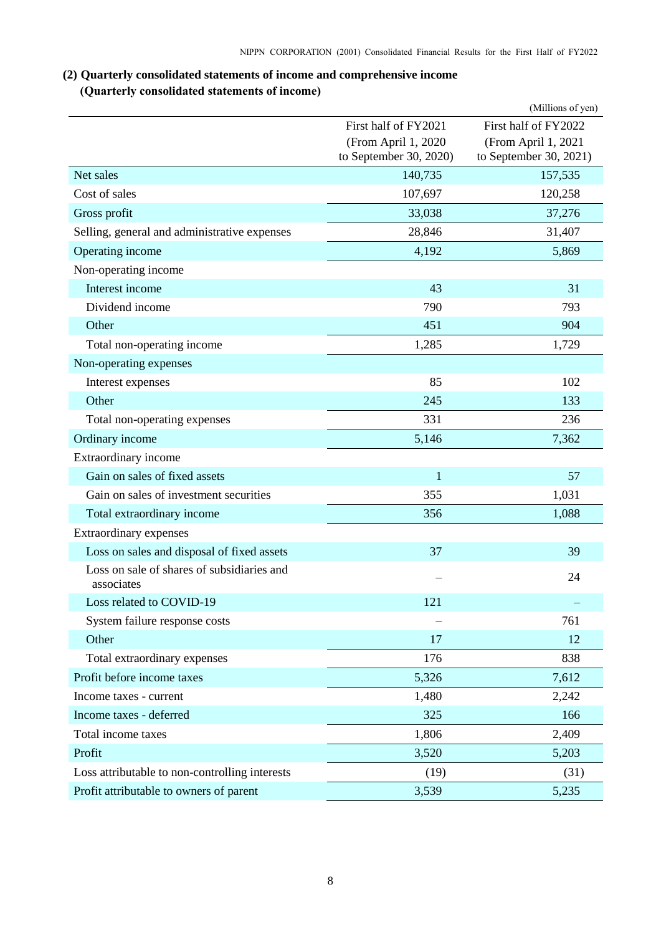# <span id="page-9-0"></span>**(2) Quarterly consolidated statements of income and comprehensive income (Quarterly consolidated statements of income)**

<span id="page-9-1"></span>

|                                                          |                                               | (Millions of yen)                             |
|----------------------------------------------------------|-----------------------------------------------|-----------------------------------------------|
|                                                          | First half of FY2021                          | First half of FY2022                          |
|                                                          | (From April 1, 2020<br>to September 30, 2020) | (From April 1, 2021<br>to September 30, 2021) |
| Net sales                                                | 140,735                                       | 157,535                                       |
| Cost of sales                                            | 107,697                                       | 120,258                                       |
| Gross profit                                             | 33,038                                        | 37,276                                        |
| Selling, general and administrative expenses             | 28,846                                        | 31,407                                        |
| Operating income                                         | 4,192                                         | 5,869                                         |
| Non-operating income                                     |                                               |                                               |
| Interest income                                          | 43                                            | 31                                            |
| Dividend income                                          | 790                                           | 793                                           |
| Other                                                    | 451                                           | 904                                           |
| Total non-operating income                               | 1,285                                         | 1,729                                         |
| Non-operating expenses                                   |                                               |                                               |
| Interest expenses                                        | 85                                            | 102                                           |
| Other                                                    | 245                                           | 133                                           |
| Total non-operating expenses                             | 331                                           | 236                                           |
| Ordinary income                                          | 5,146                                         | 7,362                                         |
| Extraordinary income                                     |                                               |                                               |
| Gain on sales of fixed assets                            | $\mathbf{1}$                                  | 57                                            |
| Gain on sales of investment securities                   | 355                                           | 1,031                                         |
| Total extraordinary income                               | 356                                           | 1,088                                         |
| Extraordinary expenses                                   |                                               |                                               |
| Loss on sales and disposal of fixed assets               | 37                                            | 39                                            |
| Loss on sale of shares of subsidiaries and<br>associates |                                               | 24                                            |
| Loss related to COVID-19                                 | 121                                           |                                               |
| System failure response costs                            |                                               | 761                                           |
| Other                                                    | 17                                            | 12                                            |
| Total extraordinary expenses                             | 176                                           | 838                                           |
| Profit before income taxes                               | 5,326                                         | 7,612                                         |
| Income taxes - current                                   | 1,480                                         | 2,242                                         |
| Income taxes - deferred                                  | 325                                           | 166                                           |
| Total income taxes                                       | 1,806                                         | 2,409                                         |
| Profit                                                   | 3,520                                         | 5,203                                         |
| Loss attributable to non-controlling interests           | (19)                                          | (31)                                          |
| Profit attributable to owners of parent                  | 3,539                                         | 5,235                                         |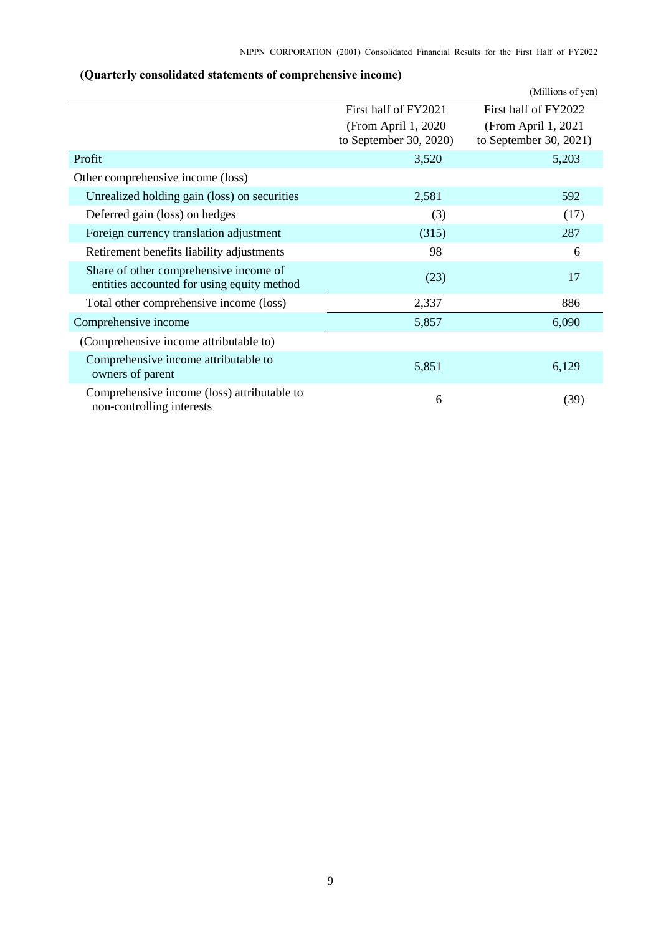<span id="page-10-0"></span>

|                                                                                      |                                                | (Millions of yen)                              |
|--------------------------------------------------------------------------------------|------------------------------------------------|------------------------------------------------|
|                                                                                      | First half of FY2021                           | First half of FY2022                           |
|                                                                                      | (From April 1, 2020)<br>to September 30, 2020) | (From April 1, 2021)<br>to September 30, 2021) |
| Profit                                                                               | 3,520                                          | 5,203                                          |
| Other comprehensive income (loss)                                                    |                                                |                                                |
| Unrealized holding gain (loss) on securities                                         | 2,581                                          | 592                                            |
| Deferred gain (loss) on hedges                                                       | (3)                                            | (17)                                           |
| Foreign currency translation adjustment                                              | (315)                                          | 287                                            |
| Retirement benefits liability adjustments                                            | 98                                             | 6                                              |
| Share of other comprehensive income of<br>entities accounted for using equity method | (23)                                           | 17                                             |
| Total other comprehensive income (loss)                                              | 2,337                                          | 886                                            |
| Comprehensive income                                                                 | 5,857                                          | 6,090                                          |
| (Comprehensive income attributable to)                                               |                                                |                                                |
| Comprehensive income attributable to<br>owners of parent                             | 5,851                                          | 6,129                                          |
| Comprehensive income (loss) attributable to<br>non-controlling interests             | 6                                              | (39)                                           |

# **(Quarterly consolidated statements of comprehensive income)**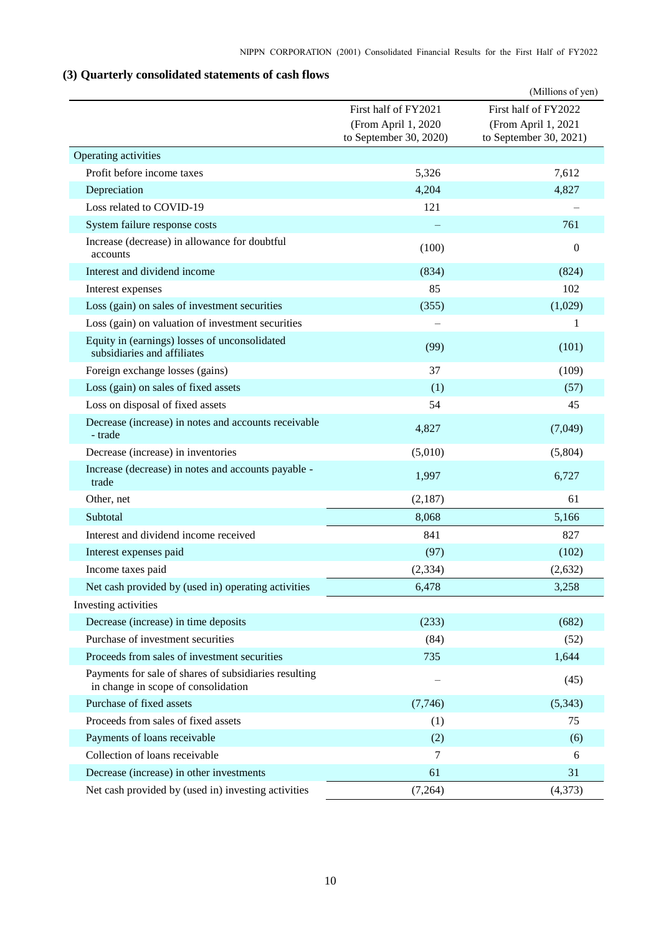# <span id="page-11-0"></span>**(3) Quarterly consolidated statements of cash flows**

|                                                                                              |                                                                       | (Millions of yen)                                                     |
|----------------------------------------------------------------------------------------------|-----------------------------------------------------------------------|-----------------------------------------------------------------------|
|                                                                                              | First half of FY2021<br>(From April 1, 2020<br>to September 30, 2020) | First half of FY2022<br>(From April 1, 2021<br>to September 30, 2021) |
| Operating activities                                                                         |                                                                       |                                                                       |
| Profit before income taxes                                                                   | 5,326                                                                 | 7,612                                                                 |
| Depreciation                                                                                 | 4,204                                                                 | 4,827                                                                 |
| Loss related to COVID-19                                                                     | 121                                                                   |                                                                       |
| System failure response costs                                                                |                                                                       | 761                                                                   |
| Increase (decrease) in allowance for doubtful<br>accounts                                    | (100)                                                                 | $\overline{0}$                                                        |
| Interest and dividend income                                                                 | (834)                                                                 | (824)                                                                 |
| Interest expenses                                                                            | 85                                                                    | 102                                                                   |
| Loss (gain) on sales of investment securities                                                | (355)                                                                 | (1,029)                                                               |
| Loss (gain) on valuation of investment securities                                            |                                                                       | 1                                                                     |
| Equity in (earnings) losses of unconsolidated<br>subsidiaries and affiliates                 | (99)                                                                  | (101)                                                                 |
| Foreign exchange losses (gains)                                                              | 37                                                                    | (109)                                                                 |
| Loss (gain) on sales of fixed assets                                                         | (1)                                                                   | (57)                                                                  |
| Loss on disposal of fixed assets                                                             | 54                                                                    | 45                                                                    |
| Decrease (increase) in notes and accounts receivable<br>- trade                              | 4,827                                                                 | (7,049)                                                               |
| Decrease (increase) in inventories                                                           | (5,010)                                                               | (5,804)                                                               |
| Increase (decrease) in notes and accounts payable -<br>trade                                 | 1,997                                                                 | 6,727                                                                 |
| Other, net                                                                                   | (2,187)                                                               | 61                                                                    |
| Subtotal                                                                                     | 8,068                                                                 | 5,166                                                                 |
| Interest and dividend income received                                                        | 841                                                                   | 827                                                                   |
| Interest expenses paid                                                                       | (97)                                                                  | (102)                                                                 |
| Income taxes paid                                                                            | (2, 334)                                                              | (2,632)                                                               |
| Net cash provided by (used in) operating activities                                          | 6,478                                                                 | 3,258                                                                 |
| Investing activities                                                                         |                                                                       |                                                                       |
| Decrease (increase) in time deposits                                                         | (233)                                                                 | (682)                                                                 |
| Purchase of investment securities                                                            | (84)                                                                  | (52)                                                                  |
| Proceeds from sales of investment securities                                                 | 735                                                                   | 1,644                                                                 |
| Payments for sale of shares of subsidiaries resulting<br>in change in scope of consolidation |                                                                       | (45)                                                                  |
| Purchase of fixed assets                                                                     | (7,746)                                                               | (5,343)                                                               |
| Proceeds from sales of fixed assets                                                          | (1)                                                                   | 75                                                                    |
| Payments of loans receivable                                                                 | (2)                                                                   | (6)                                                                   |
| Collection of loans receivable                                                               | 7                                                                     | 6                                                                     |
| Decrease (increase) in other investments                                                     | 61                                                                    | 31                                                                    |
| Net cash provided by (used in) investing activities                                          | (7,264)                                                               | (4,373)                                                               |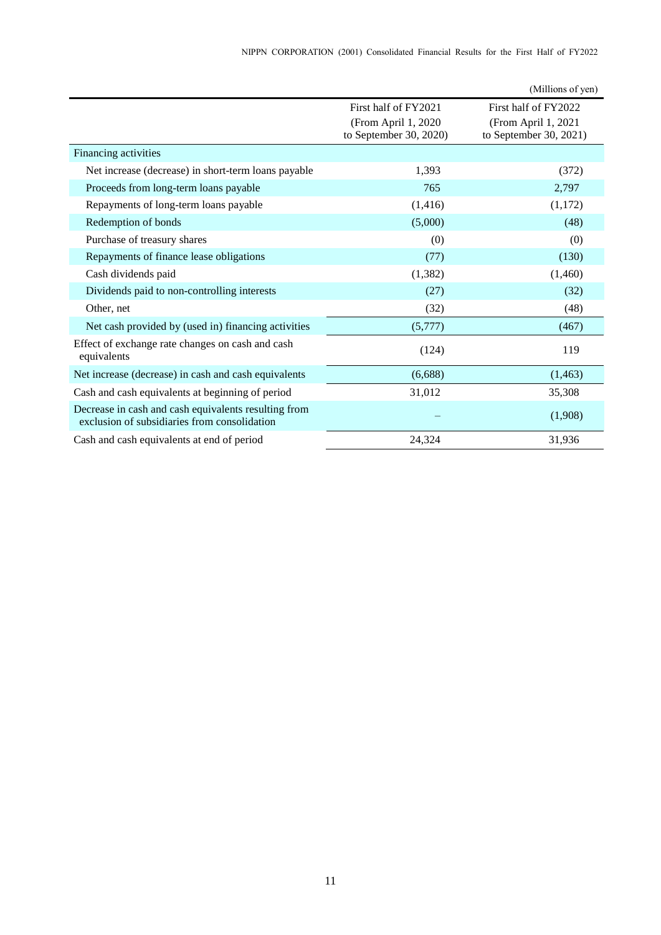|                                                                                                      |                                                | (Millions of yen)                             |
|------------------------------------------------------------------------------------------------------|------------------------------------------------|-----------------------------------------------|
|                                                                                                      | First half of FY2021                           | First half of FY2022                          |
|                                                                                                      | (From April 1, 2020)<br>to September 30, 2020) | (From April 1, 2021<br>to September 30, 2021) |
| Financing activities                                                                                 |                                                |                                               |
| Net increase (decrease) in short-term loans payable                                                  | 1,393                                          | (372)                                         |
| Proceeds from long-term loans payable                                                                | 765                                            | 2,797                                         |
| Repayments of long-term loans payable                                                                | (1, 416)                                       | (1,172)                                       |
| Redemption of bonds                                                                                  | (5,000)                                        | (48)                                          |
| Purchase of treasury shares                                                                          | (0)                                            | (0)                                           |
| Repayments of finance lease obligations                                                              | (77)                                           | (130)                                         |
| Cash dividends paid                                                                                  | (1, 382)                                       | (1,460)                                       |
| Dividends paid to non-controlling interests                                                          | (27)                                           | (32)                                          |
| Other, net                                                                                           | (32)                                           | (48)                                          |
| Net cash provided by (used in) financing activities                                                  | (5,777)                                        | (467)                                         |
| Effect of exchange rate changes on cash and cash<br>equivalents                                      | (124)                                          | 119                                           |
| Net increase (decrease) in cash and cash equivalents                                                 | (6,688)                                        | (1, 463)                                      |
| Cash and cash equivalents at beginning of period                                                     | 31,012                                         | 35,308                                        |
| Decrease in cash and cash equivalents resulting from<br>exclusion of subsidiaries from consolidation |                                                | (1,908)                                       |
| Cash and cash equivalents at end of period                                                           | 24,324                                         | 31,936                                        |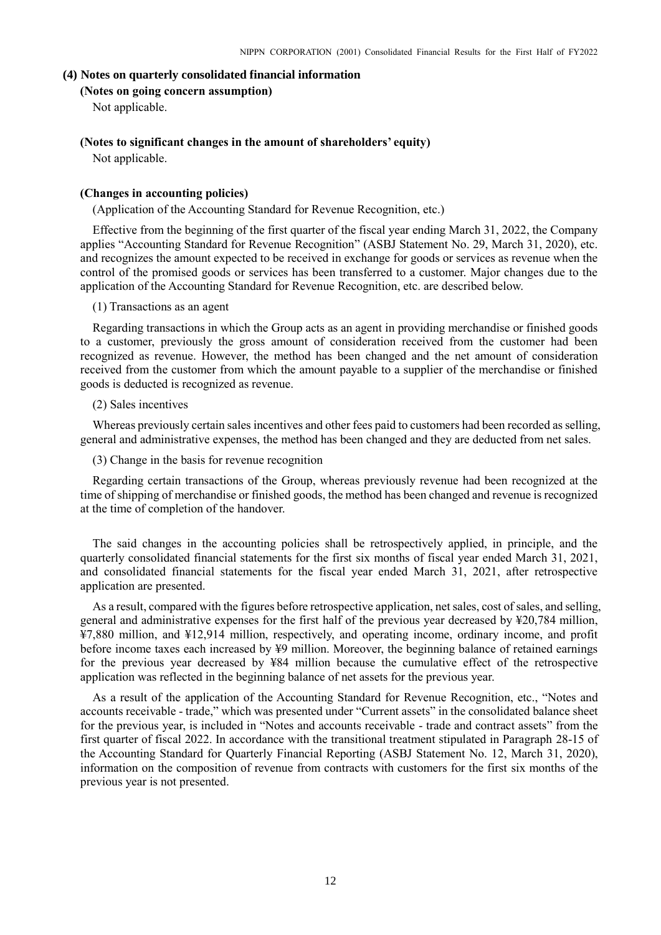#### <span id="page-13-1"></span><span id="page-13-0"></span>**(4) Notes on quarterly consolidated financial information**

### **(Notes on going concern assumption)**

Not applicable.

# <span id="page-13-2"></span>**(Notes to significant changes in the amount of shareholders' equity)**

Not applicable.

#### <span id="page-13-3"></span>**(Changes in accounting policies)**

(Application of the Accounting Standard for Revenue Recognition, etc.)

Effective from the beginning of the first quarter of the fiscal year ending March 31, 2022, the Company applies "Accounting Standard for Revenue Recognition" (ASBJ Statement No. 29, March 31, 2020), etc. and recognizes the amount expected to be received in exchange for goods or services as revenue when the control of the promised goods or services has been transferred to a customer. Major changes due to the application of the Accounting Standard for Revenue Recognition, etc. are described below.

#### (1) Transactions as an agent

Regarding transactions in which the Group acts as an agent in providing merchandise or finished goods to a customer, previously the gross amount of consideration received from the customer had been recognized as revenue. However, the method has been changed and the net amount of consideration received from the customer from which the amount payable to a supplier of the merchandise or finished goods is deducted is recognized as revenue.

#### (2) Sales incentives

Whereas previously certain sales incentives and other fees paid to customers had been recorded as selling, general and administrative expenses, the method has been changed and they are deducted from net sales.

(3) Change in the basis for revenue recognition

Regarding certain transactions of the Group, whereas previously revenue had been recognized at the time of shipping of merchandise or finished goods, the method has been changed and revenue is recognized at the time of completion of the handover.

The said changes in the accounting policies shall be retrospectively applied, in principle, and the quarterly consolidated financial statements for the first six months of fiscal year ended March 31, 2021, and consolidated financial statements for the fiscal year ended March 31, 2021, after retrospective application are presented.

As a result, compared with the figures before retrospective application, net sales, cost of sales, and selling, general and administrative expenses for the first half of the previous year decreased by ¥20,784 million, ¥7,880 million, and ¥12,914 million, respectively, and operating income, ordinary income, and profit before income taxes each increased by ¥9 million. Moreover, the beginning balance of retained earnings for the previous year decreased by ¥84 million because the cumulative effect of the retrospective application was reflected in the beginning balance of net assets for the previous year.

As a result of the application of the Accounting Standard for Revenue Recognition, etc., "Notes and accounts receivable - trade," which was presented under "Current assets" in the consolidated balance sheet for the previous year, is included in "Notes and accounts receivable - trade and contract assets" from the first quarter of fiscal 2022. In accordance with the transitional treatment stipulated in Paragraph 28-15 of the Accounting Standard for Quarterly Financial Reporting (ASBJ Statement No. 12, March 31, 2020), information on the composition of revenue from contracts with customers for the first six months of the previous year is not presented.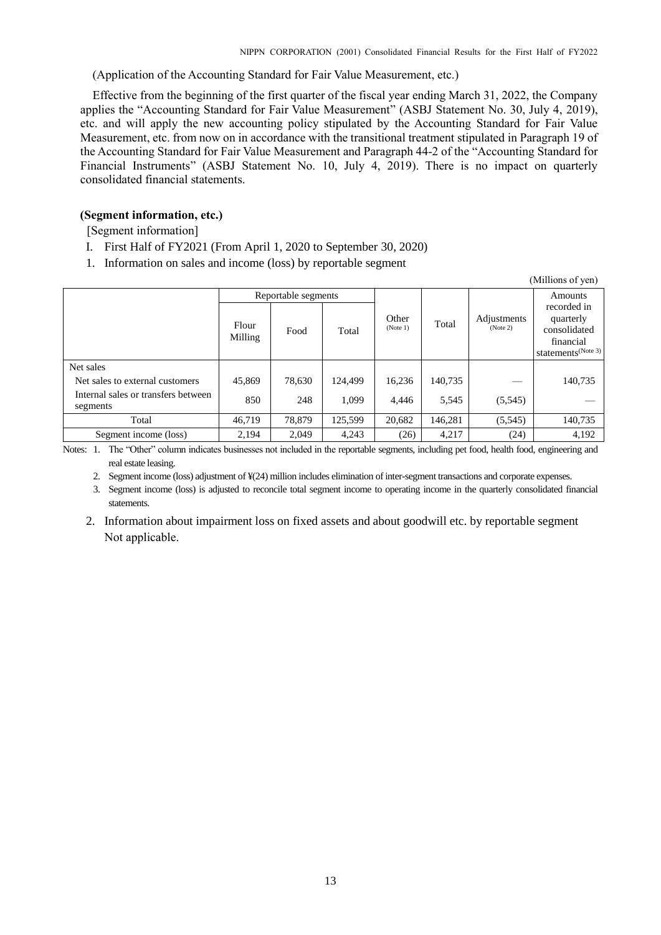$(M)$ llions of yen)

(Application of the Accounting Standard for Fair Value Measurement, etc.)

Effective from the beginning of the first quarter of the fiscal year ending March 31, 2022, the Company applies the "Accounting Standard for Fair Value Measurement" (ASBJ Statement No. 30, July 4, 2019), etc. and will apply the new accounting policy stipulated by the Accounting Standard for Fair Value Measurement, etc. from now on in accordance with the transitional treatment stipulated in Paragraph 19 of the Accounting Standard for Fair Value Measurement and Paragraph 44-2 of the "Accounting Standard for Financial Instruments" (ASBJ Statement No. 10, July 4, 2019). There is no impact on quarterly consolidated financial statements.

# <span id="page-14-0"></span>**(Segment information, etc.)**

[Segment information]

- I. First Half of FY2021 (From April 1, 2020 to September 30, 2020)
- 1. Information on sales and income (loss) by reportable segment

|                                                 |                     |        |         |                   |         |                         | (TATHITOHS OF ACIT)                                                                     |
|-------------------------------------------------|---------------------|--------|---------|-------------------|---------|-------------------------|-----------------------------------------------------------------------------------------|
|                                                 | Reportable segments |        |         |                   |         |                         | Amounts                                                                                 |
|                                                 | Flour<br>Milling    | Food   | Total   | Other<br>(Note 1) | Total   | Adjustments<br>(Note 2) | recorded in<br>quarterly<br>consolidated<br>financial<br>statements <sup>(Note 3)</sup> |
| Net sales                                       |                     |        |         |                   |         |                         |                                                                                         |
| Net sales to external customers                 | 45,869              | 78,630 | 124.499 | 16,236            | 140,735 |                         | 140,735                                                                                 |
| Internal sales or transfers between<br>segments | 850                 | 248    | 1.099   | 4.446             | 5,545   | (5,545)                 |                                                                                         |
| Total                                           | 46,719              | 78,879 | 125,599 | 20,682            | 146,281 | (5,545)                 | 140,735                                                                                 |
| Segment income (loss)                           | 2,194               | 2,049  | 4,243   | (26)              | 4,217   | (24)                    | 4,192                                                                                   |

Notes: 1. The "Other" column indicates businesses not included in the reportable segments, including pet food, health food, engineering and real estate leasing.

2. Segment income (loss) adjustment of ¥(24) million includes elimination of inter-segment transactions and corporate expenses.

3. Segment income (loss) is adjusted to reconcile total segment income to operating income in the quarterly consolidated financial statements.

2. Information about impairment loss on fixed assets and about goodwill etc. by reportable segment Not applicable.